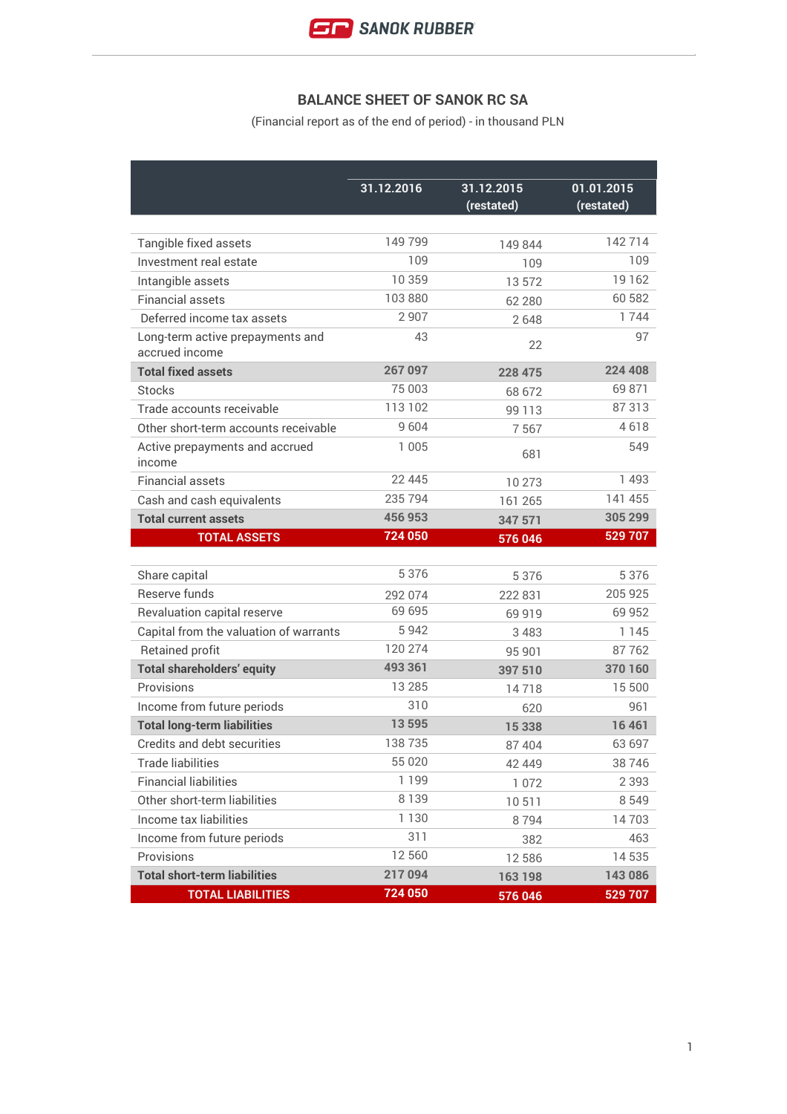

## **BALANCE SHEET OF SANOK RC SA**

(Financial report as of the end of period) - in thousand PLN

|                                                    | 31.12.2016 | 31.12.2015 | 01.01.2015 |
|----------------------------------------------------|------------|------------|------------|
|                                                    |            | (restated) | (restated) |
|                                                    |            |            |            |
| Tangible fixed assets                              | 149799     | 149 844    | 142714     |
| Investment real estate                             | 109        | 109        | 109        |
| Intangible assets                                  | 10 359     | 13 572     | 19 162     |
| <b>Financial assets</b>                            | 103 880    | 62 280     | 60 582     |
| Deferred income tax assets                         | 2907       | 2648       | 1744       |
| Long-term active prepayments and<br>accrued income | 43         | 22         | 97         |
| <b>Total fixed assets</b>                          | 267 097    | 228 475    | 224 408    |
| <b>Stocks</b>                                      | 75 003     | 68 672     | 69 871     |
| Trade accounts receivable                          | 113 102    | 99 113     | 87313      |
| Other short-term accounts receivable               | 9604       | 7567       | 4618       |
| Active prepayments and accrued<br>income           | 1 005      | 681        | 549        |
| <b>Financial assets</b>                            | 22 445     | 10 273     | 1493       |
| Cash and cash equivalents                          | 235 794    | 161 265    | 141 455    |
| <b>Total current assets</b>                        | 456 953    | 347 571    | 305 299    |
| <b>TOTAL ASSETS</b>                                | 724 050    | 576 046    | 529 707    |
|                                                    |            |            |            |
| Share capital                                      | 5376       | 5 3 7 6    | 5376       |
| Reserve funds                                      | 292 074    | 222 831    | 205 925    |
| Revaluation capital reserve                        | 69 695     | 69 919     | 69 952     |
| Capital from the valuation of warrants             | 5942       | 3 4 8 3    | 1 1 4 5    |
| <b>Retained profit</b>                             | 120 274    | 95 901     | 87762      |
| <b>Total shareholders' equity</b>                  | 493 361    | 397 510    | 370 160    |
| Provisions                                         | 13 285     | 14718      | 15 500     |
| Income from future periods                         | 310        | 620        | 961        |
| <b>Total long-term liabilities</b>                 | 13 5 95    | 15 3 38    | 16 4 61    |
| Credits and debt securities                        | 138735     | 87 404     | 63 697     |
| <b>Trade liabilities</b>                           | 55 0 20    | 42 449     | 38746      |
| <b>Financial liabilities</b>                       | 1199       | 1 0 7 2    | 2 3 9 3    |
| Other short-term liabilities                       | 8139       | 10511      | 8 5 4 9    |
| Income tax liabilities                             | 1 1 3 0    | 8794       | 14703      |
| Income from future periods                         | 311        | 382        | 463        |
| Provisions                                         | 12 560     | 12 586     | 14535      |
| <b>Total short-term liabilities</b>                | 217094     | 163 198    | 143 086    |
| <b>TOTAL LIABILITIES</b>                           | 724 050    | 576 046    | 529 707    |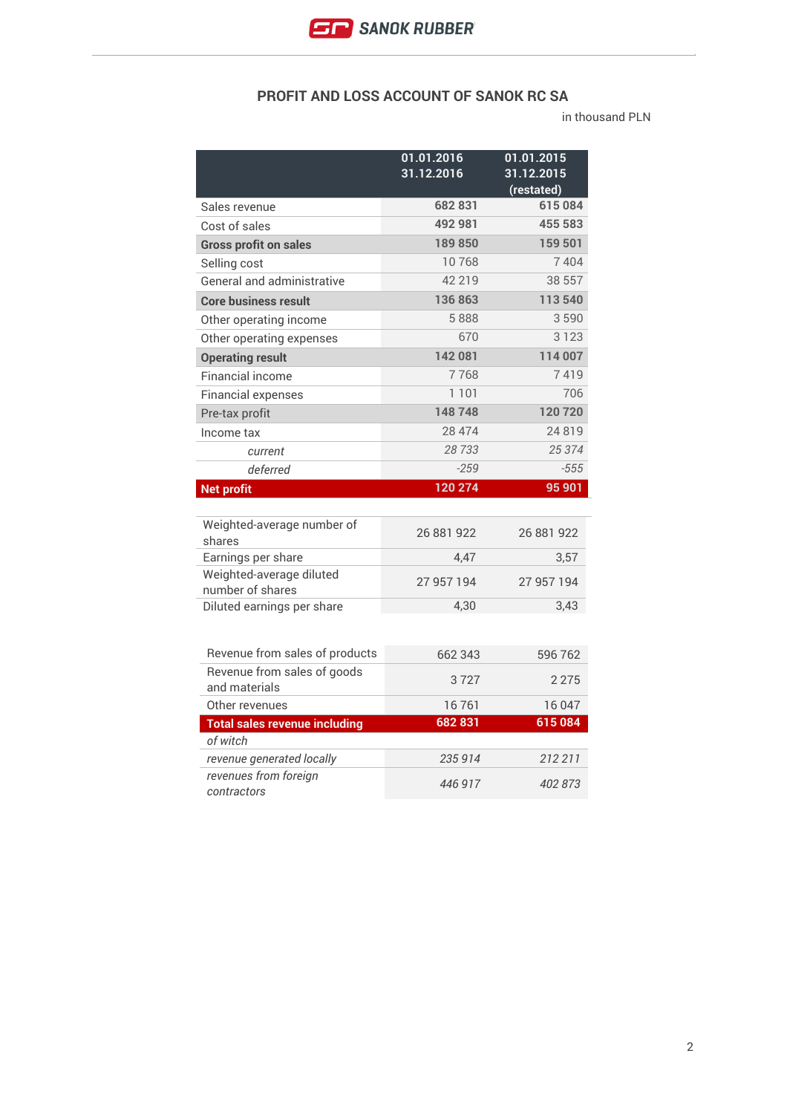## **PROFIT AND LOSS ACCOUNT OF SANOK RC SA**

in thousand PLN

|                                                    | 01.01.2016<br>31.12.2016 | 01.01.2015<br>31.12.2015<br>(restated) |
|----------------------------------------------------|--------------------------|----------------------------------------|
| Sales revenue                                      | 682831                   | 615084                                 |
| Cost of sales                                      | 492 981                  | 455 583                                |
| <b>Gross profit on sales</b>                       | 189850                   | 159 501                                |
| Selling cost                                       | 10768                    | 7404                                   |
| General and administrative                         | 42 219                   | 38 557                                 |
| <b>Core business result</b>                        | 136863                   | 113540                                 |
| Other operating income                             | 5888                     | 3590                                   |
| Other operating expenses                           | 670                      | 3 1 2 3                                |
| <b>Operating result</b>                            | 142 081                  | 114 007                                |
| Financial income                                   | 7768                     | 7419                                   |
| <b>Financial expenses</b>                          | 1 1 0 1                  | 706                                    |
| Pre-tax profit                                     | 148748                   | 120720                                 |
| Income tax                                         | 28 4 74                  | 24819                                  |
| current                                            | 28733                    | 25 374                                 |
| deferred                                           | $-259$                   | $-555$                                 |
|                                                    |                          |                                        |
| <b>Net profit</b>                                  | 120 274                  | 95 901                                 |
|                                                    |                          |                                        |
| Weighted-average number of<br>shares               | 26 881 922               | 26 881 922                             |
| Earnings per share                                 | 4.47                     | 3,57                                   |
| Weighted-average diluted<br>number of shares       | 27 957 194               | 27 957 194                             |
| Diluted earnings per share                         | 4,30                     | 3,43                                   |
|                                                    |                          |                                        |
| Revenue from sales of products                     | 662 343                  | 596 762                                |
| Revenue from sales of goods<br>and materials       | 3727                     | 2 2 7 5                                |
| Other revenues                                     | 16761                    | 16047                                  |
| <b>Total sales revenue including</b>               | 682831                   | 615084                                 |
| of witch                                           |                          |                                        |
| revenue generated locally<br>revenues from foreign | 235 914                  | 212 211                                |